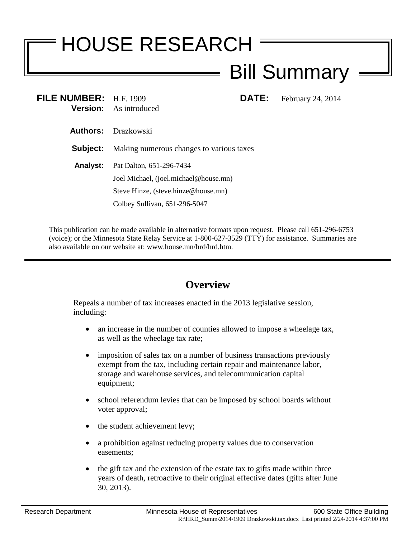# HOUSE RESEARCH

## Bill Summary

| FILE NUMBER: H.F. 1909 | <b>Version:</b> As introduced            | DATE: | February 24, 2014 |
|------------------------|------------------------------------------|-------|-------------------|
|                        | <b>Authors:</b> Drazkowski               |       |                   |
| Subject:               | Making numerous changes to various taxes |       |                   |
| <b>Analyst:</b>        | Pat Dalton, 651-296-7434                 |       |                   |
|                        | Joel Michael, (joel.michael@house.mn)    |       |                   |
|                        | Steve Hinze, (steve.hinze@house.mn)      |       |                   |
|                        | Colbey Sullivan, 651-296-5047            |       |                   |
|                        |                                          |       |                   |

This publication can be made available in alternative formats upon request. Please call 651-296-6753 (voice); or the Minnesota State Relay Service at 1-800-627-3529 (TTY) for assistance. Summaries are also available on our website at: www.house.mn/hrd/hrd.htm.

### **Overview**

Repeals a number of tax increases enacted in the 2013 legislative session, including:

- an increase in the number of counties allowed to impose a wheelage tax, as well as the wheelage tax rate;
- imposition of sales tax on a number of business transactions previously exempt from the tax, including certain repair and maintenance labor, storage and warehouse services, and telecommunication capital equipment;
- school referendum levies that can be imposed by school boards without voter approval;
- the student achievement levy;
- a prohibition against reducing property values due to conservation easements;
- the gift tax and the extension of the estate tax to gifts made within three years of death, retroactive to their original effective dates (gifts after June 30, 2013).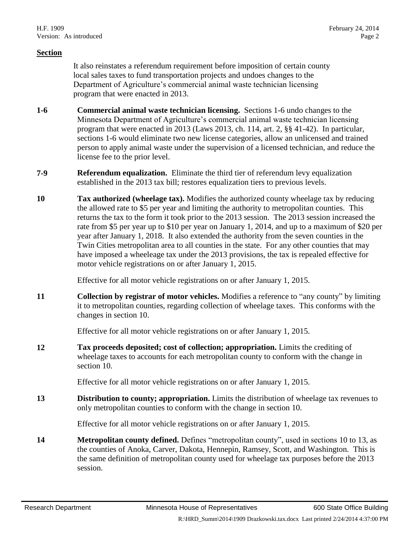#### **Section**

It also reinstates a referendum requirement before imposition of certain county local sales taxes to fund transportation projects and undoes changes to the Department of Agriculture's commercial animal waste technician licensing program that were enacted in 2013.

- **1-6 Commercial animal waste technician licensing.** Sections 1-6 undo changes to the Minnesota Department of Agriculture's commercial animal waste technician licensing program that were enacted in 2013 (Laws 2013, ch. 114, art. 2, §§ 41-42). In particular, sections 1-6 would eliminate two new license categories, allow an unlicensed and trained person to apply animal waste under the supervision of a licensed technician, and reduce the license fee to the prior level.
- **7-9 Referendum equalization.** Eliminate the third tier of referendum levy equalization established in the 2013 tax bill; restores equalization tiers to previous levels.
- <span id="page-1-0"></span>**10 Tax authorized (wheelage tax).** Modifies the authorized county wheelage tax by reducing the allowed rate to \$5 per year and limiting the authority to metropolitan counties. This returns the tax to the form it took prior to the 2013 session. The 2013 session increased the rate from \$5 per year up to \$10 per year on January 1, 2014, and up to a maximum of \$20 per year after January 1, 2018. It also extended the authority from the seven counties in the Twin Cities metropolitan area to all counties in the state. For any other counties that may have imposed a wheeleage tax under the 2013 provisions, the tax is repealed effective for motor vehicle registrations on or after January 1, 2015.

Effective for all motor vehicle registrations on or after January 1, 2015.

**11 Collection by registrar of motor vehicles.** Modifies a reference to "any county" by limiting it to metropolitan counties, regarding collection of wheelage taxes. This conforms with the changes in section [10.](#page-1-0)

Effective for all motor vehicle registrations on or after January 1, 2015.

**12 Tax proceeds deposited; cost of collection; appropriation.** Limits the crediting of wheelage taxes to accounts for each metropolitan county to conform with the change in section [10.](#page-1-0)

Effective for all motor vehicle registrations on or after January 1, 2015.

<span id="page-1-1"></span>**13 Distribution to county; appropriation.** Limits the distribution of wheelage tax revenues to only metropolitan counties to conform with the change in section [10.](#page-1-0)

Effective for all motor vehicle registrations on or after January 1, 2015.

**14 Metropolitan county defined.** Defines "metropolitan county", used in sections [10](#page-1-0) to [13,](#page-1-1) as the counties of Anoka, Carver, Dakota, Hennepin, Ramsey, Scott, and Washington. This is the same definition of metropolitan county used for wheelage tax purposes before the 2013 session.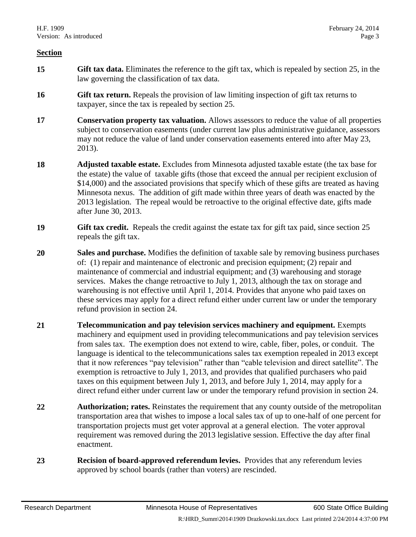#### **Section**

- **15 Gift tax data.** Eliminates the reference to the gift tax, which is repealed by section [25,](#page-3-0) in the law governing the classification of tax data.
- **16 Gift tax return.** Repeals the provision of law limiting inspection of gift tax returns to taxpayer, since the tax is repealed by section [25.](#page-3-0)
- **17 Conservation property tax valuation.** Allows assessors to reduce the value of all properties subject to conservation easements (under current law plus administrative guidance, assessors may not reduce the value of land under conservation easements entered into after May 23, 2013).
- **18 Adjusted taxable estate.** Excludes from Minnesota adjusted taxable estate (the tax base for the estate) the value of taxable gifts (those that exceed the annual per recipient exclusion of \$14,000) and the associated provisions that specify which of these gifts are treated as having Minnesota nexus. The addition of gift made within three years of death was enacted by the 2013 legislation. The repeal would be retroactive to the original effective date, gifts made after June 30, 2013.
- **19 Gift tax credit.** Repeals the credit against the estate tax for gift tax paid, since section [25](#page-3-0) repeals the gift tax.
- <span id="page-2-0"></span>**20 Sales and purchase.** Modifies the definition of taxable sale by removing business purchases of: (1) repair and maintenance of electronic and precision equipment; (2) repair and maintenance of commercial and industrial equipment; and (3) warehousing and storage services. Makes the change retroactive to July 1, 2013, although the tax on storage and warehousing is not effective until April 1, 2014. Provides that anyone who paid taxes on these services may apply for a direct refund either under current law or under the temporary refund provision in section [24.](#page-3-1)
- <span id="page-2-1"></span>**21 Telecommunication and pay television services machinery and equipment.** Exempts machinery and equipment used in providing telecommunications and pay television services from sales tax. The exemption does not extend to wire, cable, fiber, poles, or conduit. The language is identical to the telecommunications sales tax exemption repealed in 2013 except that it now references "pay television" rather than "cable television and direct satellite". The exemption is retroactive to July 1, 2013, and provides that qualified purchasers who paid taxes on this equipment between July 1, 2013, and before July 1, 2014, may apply for a direct refund either under current law or under the temporary refund provision in section [24.](#page-3-1)
- **22 Authorization; rates.** Reinstates the requirement that any county outside of the metropolitan transportation area that wishes to impose a local sales tax of up to one-half of one percent for transportation projects must get voter approval at a general election. The voter approval requirement was removed during the 2013 legislative session. Effective the day after final enactment.
- **23 Recision of board-approved referendum levies.** Provides that any referendum levies approved by school boards (rather than voters) are rescinded.